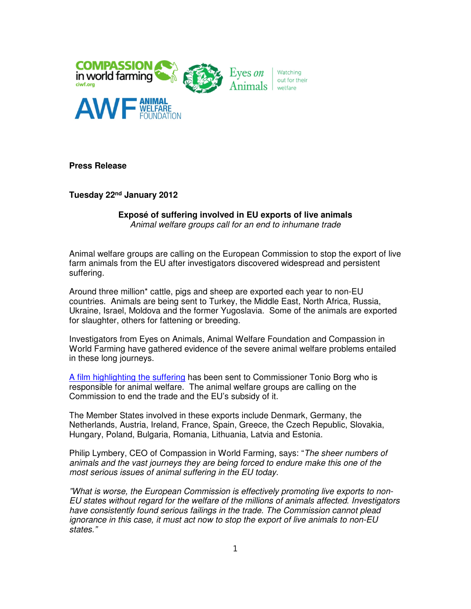

**Press Release**

**Tuesday 22nd January 2012**

**Exposé of suffering involved in EU exports of live animals** Animal welfare groups call for an end to inhumane trade

Animal welfare groups are calling on the European Commission to stop the export of live farm animals from the EU after investigators discovered widespread and persistent suffering.

Around three million\* cattle, pigs and sheep are exported each year to non-EU countries. Animals are being sent to Turkey, the Middle East, North Africa, Russia, Ukraine, Israel, Moldova and the former Yugoslavia. Some of the animals are exported for slaughter, others for fattening or breeding.

Investigators from Eyes on Animals, Animal Welfare Foundation and Compassion in World Farming have gathered evidence of the severe animal welfare problems entailed in these long journeys.

A film highlighting the suffering has been sent to Commissioner Tonio Borg who is responsible for animal welfare. The animal welfare groups are calling on the Commission to end the trade and the EU's subsidy of it.

The Member States involved in these exports include Denmark, Germany, the Netherlands, Austria, Ireland, France, Spain, Greece, the Czech Republic, Slovakia, Hungary, Poland, Bulgaria, Romania, Lithuania, Latvia and Estonia.

Philip Lymbery, CEO of Compassion in World Farming, says: "The sheer numbers of animals and the vast journeys they are being forced to endure make this one of the most serious issues of animal suffering in the EU today.

"What is worse, the European Commission is effectively promoting live exports to non-EU states without regard for the welfare of the millions of animals affected. Investigators have consistently found serious failings in the trade. The Commission cannot plead ignorance in this case, it must act now to stop the export of live animals to non-EU states."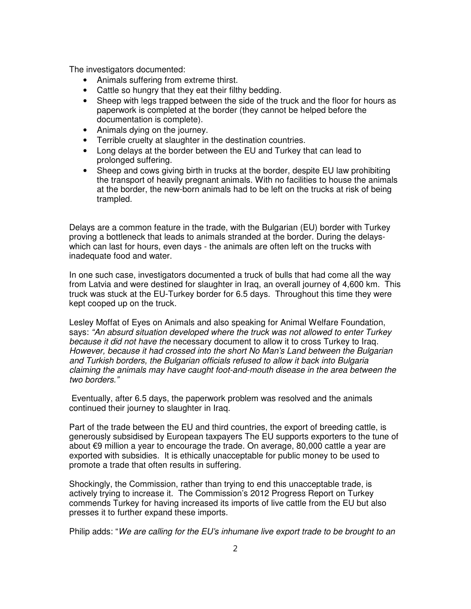The investigators documented:

- Animals suffering from extreme thirst.
- Cattle so hungry that they eat their filthy bedding.
- Sheep with legs trapped between the side of the truck and the floor for hours as paperwork is completed at the border (they cannot be helped before the documentation is complete).
- Animals dying on the journey.
- Terrible cruelty at slaughter in the destination countries.
- Long delays at the border between the EU and Turkey that can lead to prolonged suffering.
- Sheep and cows giving birth in trucks at the border, despite EU law prohibiting the transport of heavily pregnant animals. With no facilities to house the animals at the border, the new-born animals had to be left on the trucks at risk of being trampled.

Delays are a common feature in the trade, with the Bulgarian (EU) border with Turkey proving a bottleneck that leads to animals stranded at the border. During the delayswhich can last for hours, even days - the animals are often left on the trucks with inadequate food and water.

In one such case, investigators documented a truck of bulls that had come all the way from Latvia and were destined for slaughter in Iraq, an overall journey of 4,600 km. This truck was stuck at the EU-Turkey border for 6.5 days. Throughout this time they were kept cooped up on the truck.

Lesley Moffat of Eyes on Animals and also speaking for Animal Welfare Foundation, says: "An absurd situation developed where the truck was not allowed to enter Turkey because it did not have the necessary document to allow it to cross Turkey to Iraq. However, because it had crossed into the short No Man's Land between the Bulgarian and Turkish borders, the Bulgarian officials refused to allow it back into Bulgaria claiming the animals may have caught foot-and-mouth disease in the area between the two borders."

Eventually, after 6.5 days, the paperwork problem was resolved and the animals continued their journey to slaughter in Iraq.

Part of the trade between the EU and third countries, the export of breeding cattle, is generously subsidised by European taxpayers The EU supports exporters to the tune of about €9 million a year to encourage the trade. On average, 80,000 cattle a year are exported with subsidies. It is ethically unacceptable for public money to be used to promote a trade that often results in suffering.

Shockingly, the Commission, rather than trying to end this unacceptable trade, is actively trying to increase it. The Commission's 2012 Progress Report on Turkey commends Turkey for having increased its imports of live cattle from the EU but also presses it to further expand these imports.

Philip adds: "We are calling for the EU's inhumane live export trade to be brought to an